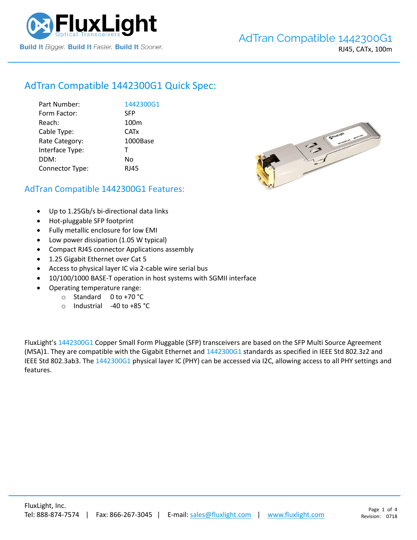

# AdTran Compatible [1442300G1](https://www.fluxlight.com/) Quick Spec:

| 1442300G1              |
|------------------------|
| <b>SFP</b>             |
| 100 <sub>m</sub>       |
| <b>CAT<sub>x</sub></b> |
| 1000Base               |
| т                      |
| No                     |
| <b>RJ45</b>            |
|                        |



### AdTran Compatible [1442300G1](https://www.fluxlight.com/) Features:

- Up to 1.25Gb/s bi-directional data links
- Hot-pluggable SFP footprint
- Fully metallic enclosure for low EMI
- Low power dissipation (1.05 W typical)
- Compact RJ45 connector Applications assembly
- 1.25 Gigabit Ethernet over Cat 5
- Access to physical layer IC via 2-cable wire serial bus
- 10/100/1000 BASE-T operation in host systems with SGMII interface
- Operating temperature range:
	- o Standard 0 to +70 °C
	- o Industrial -40 to +85 °C

FluxLight's [1442300G1](https://www.fluxlight.com/) Copper Small Form Pluggable (SFP) transceivers are based on the SFP Multi Source Agreement (MSA)1. They are compatible with the Gigabit Ethernet and [1442300G1](https://www.fluxlight.com/) standards as specified in IEEE Std 802.3z2 and IEEE Std 802.3ab3. Th[e 1442300G1](https://www.fluxlight.com/) physical layer IC (PHY) can be accessed via I2C, allowing access to all PHY settings and features.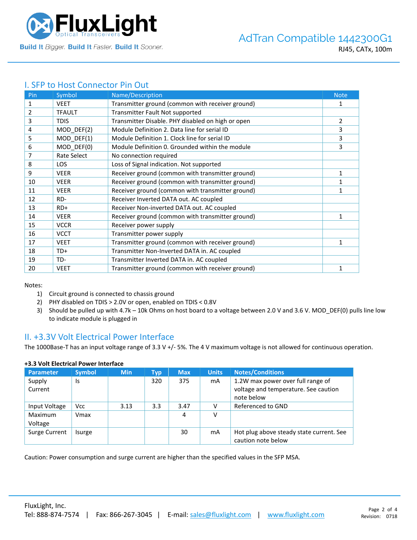

## I. SFP to Host Connector Pin Out

| Pin | Symbol        | Name/Description                                  | <b>Note</b>  |
|-----|---------------|---------------------------------------------------|--------------|
| 1   | <b>VEET</b>   | Transmitter ground (common with receiver ground)  | 1            |
| 2   | <b>TFAULT</b> | Transmitter Fault Not supported                   |              |
| 3   | <b>TDIS</b>   | Transmitter Disable. PHY disabled on high or open | 2            |
| 4   | MOD_DEF(2)    | Module Definition 2. Data line for serial ID      | 3            |
| 5   | MOD DEF(1)    | Module Definition 1. Clock line for serial ID     | 3            |
| 6   | MOD_DEF(0)    | Module Definition 0. Grounded within the module   | 3            |
| 7   | Rate Select   | No connection required                            |              |
| 8   | <b>LOS</b>    | Loss of Signal indication. Not supported          |              |
| 9   | <b>VEER</b>   | Receiver ground (common with transmitter ground)  | 1            |
| 10  | <b>VEER</b>   | Receiver ground (common with transmitter ground)  | 1            |
| 11  | <b>VEER</b>   | Receiver ground (common with transmitter ground)  |              |
| 12  | RD-           | Receiver Inverted DATA out. AC coupled            |              |
| 13  | $RD+$         | Receiver Non-inverted DATA out. AC coupled        |              |
| 14  | <b>VEER</b>   | Receiver ground (common with transmitter ground)  | 1            |
| 15  | <b>VCCR</b>   | Receiver power supply                             |              |
| 16  | <b>VCCT</b>   | Transmitter power supply                          |              |
| 17  | <b>VEET</b>   | Transmitter ground (common with receiver ground)  | 1            |
| 18  | TD+           | Transmitter Non-Inverted DATA in. AC coupled      |              |
| 19  | TD-           | Transmitter Inverted DATA in. AC coupled          |              |
| 20  | <b>VEET</b>   | Transmitter ground (common with receiver ground)  | $\mathbf{1}$ |

Notes:

- 1) Circuit ground is connected to chassis ground
- 2) PHY disabled on TDIS > 2.0V or open, enabled on TDIS < 0.8V
- 3) Should be pulled up with 4.7k 10k Ohms on host board to a voltage between 2.0 V and 3.6 V. MOD\_DEF(0) pulls line low to indicate module is plugged in

### II. +3.3V Volt Electrical Power Interface

The 1000Base-T has an input voltage range of 3.3 V +/- 5%. The 4 V maximum voltage is not allowed for continuous operation.

| <b>Parameter</b>   | <b>Symbol</b> | <b>Min</b> | Typ | <b>Max</b> | <b>Units</b> | <b>Notes/Conditions</b>                                                                 |
|--------------------|---------------|------------|-----|------------|--------------|-----------------------------------------------------------------------------------------|
| Supply<br>Current  | Is            |            | 320 | 375        | mA           | 1.2W max power over full range of<br>voltage and temperature. See caution<br>note below |
| Input Voltage      | <b>Vcc</b>    | 3.13       | 3.3 | 3.47       |              | Referenced to GND                                                                       |
| Maximum<br>Voltage | Vmax          |            |     | 4          | v            |                                                                                         |
| Surge Current      | Isurge        |            |     | 30         | mA           | Hot plug above steady state current. See<br>caution note below                          |

### **+3.3 Volt Electrical Power Interface**

Caution: Power consumption and surge current are higher than the specified values in the SFP MSA.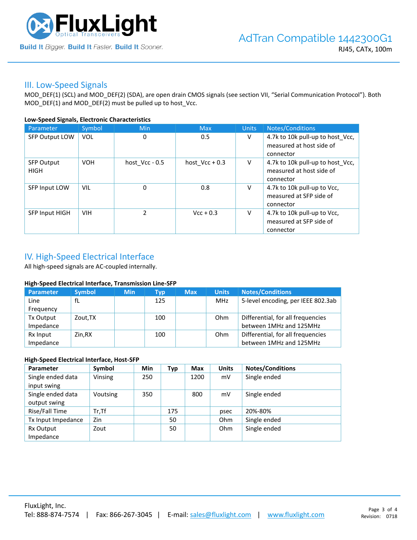

### III. Low-Speed Signals

MOD\_DEF(1) (SCL) and MOD\_DEF(2) (SDA), are open drain CMOS signals (see section VII, "Serial Communication Protocol"). Both MOD\_DEF(1) and MOD\_DEF(2) must be pulled up to host\_Vcc.

#### **Low-Speed Signals, Electronic Characteristics**

| Parameter                        | Symbol     | Min            | <b>Max</b>       | <b>Units</b> | Notes/Conditions                                                          |
|----------------------------------|------------|----------------|------------------|--------------|---------------------------------------------------------------------------|
| SFP Output LOW                   | <b>VOL</b> | 0              | 0.5              | V            | 4.7k to 10k pull-up to host_Vcc,<br>measured at host side of<br>connector |
| <b>SFP Output</b><br><b>HIGH</b> | <b>VOH</b> | host Vcc - 0.5 | host $Vcc + 0.3$ | V            | 4.7k to 10k pull-up to host Vcc,<br>measured at host side of<br>connector |
| SFP Input LOW                    | VIL        | 0              | 0.8              | V            | 4.7k to 10k pull-up to Vcc,<br>measured at SFP side of<br>connector       |
| <b>SFP Input HIGH</b>            | <b>VIH</b> | $\mathcal{P}$  | $Vcc + 0.3$      | V            | 4.7k to 10k pull-up to Vcc,<br>measured at SFP side of<br>connector       |

## IV. High-Speed Electrical Interface

All high-speed signals are AC-coupled internally.

#### **High-Speed Electrical Interface, Transmission Line-SFP**

| Parameter | <b>Symbol</b> | <b>Min</b> | Typ | <b>Max</b> | <b>Units</b> | <b>Notes/Conditions</b>            |
|-----------|---------------|------------|-----|------------|--------------|------------------------------------|
| Line      | fL            |            | 125 |            | MHz          | 5-level encoding, per IEEE 802.3ab |
| Frequency |               |            |     |            |              |                                    |
| Tx Output | Zout, TX      |            | 100 |            | Ohm          | Differential, for all frequencies  |
| Impedance |               |            |     |            |              | between 1MHz and 125MHz            |
| Rx Input  | Zin.RX        |            | 100 |            | Ohm          | Differential, for all frequencies  |
| Impedance |               |            |     |            |              | between 1MHz and 125MHz            |

#### **High-Speed Electrical Interface, Host-SFP**

| Parameter          | Symbol   | <b>Min</b> | Typ | <b>Max</b> | <b>Units</b> | <b>Notes/Conditions</b> |
|--------------------|----------|------------|-----|------------|--------------|-------------------------|
| Single ended data  | Vinsing  | 250        |     | 1200       | mV           | Single ended            |
| input swing        |          |            |     |            |              |                         |
| Single ended data  | Voutsing | 350        |     | 800        | mV           | Single ended            |
| output swing       |          |            |     |            |              |                         |
| Rise/Fall Time     | $Tr.$ Tf |            | 175 |            | psec         | 20%-80%                 |
| Tx Input Impedance | Zin      |            | 50  |            | Ohm          | Single ended            |
| Rx Output          | Zout     |            | 50  |            | Ohm          | Single ended            |
| Impedance          |          |            |     |            |              |                         |